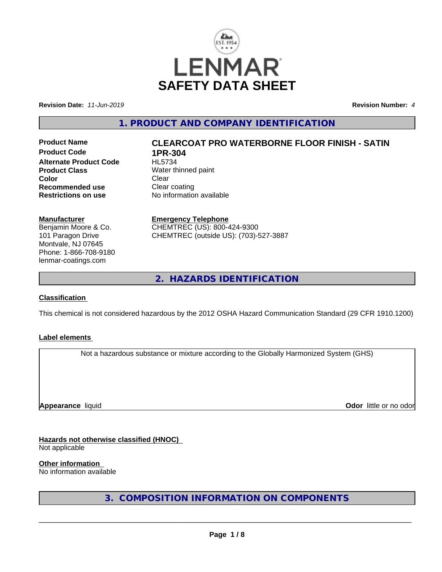

**Revision Date:** *11-Jun-2019* **Revision Number:** *4*

**1. PRODUCT AND COMPANY IDENTIFICATION**

**Product Code 1PR-304**<br>Alternate Product Code HL5734 **Alternate Product Code Product Class** Water thinned paint **Color** Clear Clear **Recommended use Clear coating<br>
<b>Restrictions on use** No information

# **Product Name CLEARCOAT PRO WATERBORNE FLOOR FINISH - SATIN**

**No information available** 

**Manufacturer** Benjamin Moore & Co. 101 Paragon Drive

Montvale, NJ 07645 Phone: 1-866-708-9180 lenmar-coatings.com

**Emergency Telephone** CHEMTREC (US): 800-424-9300

CHEMTREC (outside US): (703)-527-3887

**2. HAZARDS IDENTIFICATION**

#### **Classification**

This chemical is not considered hazardous by the 2012 OSHA Hazard Communication Standard (29 CFR 1910.1200)

## **Label elements**

Not a hazardous substance or mixture according to the Globally Harmonized System (GHS)

**Appearance** liquid

**Odor** little or no odor

**Hazards not otherwise classified (HNOC)**

Not applicable

**Other information**

No information available

**3. COMPOSITION INFORMATION ON COMPONENTS**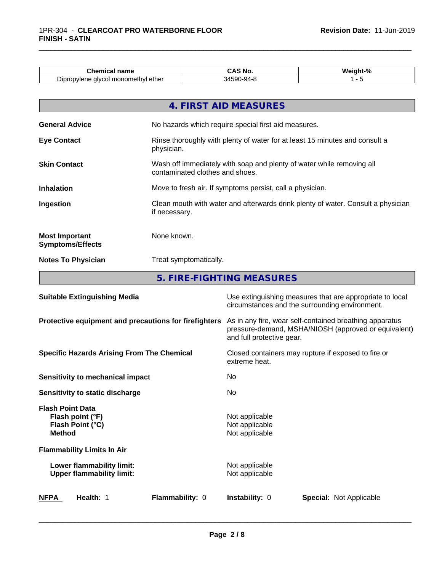| <b>Chemical name</b>                         | ™ NO.<br>un,               | Wair |
|----------------------------------------------|----------------------------|------|
| i monomethvl ether<br>alvcol:<br>Dipropylene | -- 44-8<br>34.<br>ונט<br>. |      |

|                                                  | 4. FIRST AID MEASURES                                                                                    |
|--------------------------------------------------|----------------------------------------------------------------------------------------------------------|
| <b>General Advice</b>                            | No hazards which require special first aid measures.                                                     |
| <b>Eye Contact</b>                               | Rinse thoroughly with plenty of water for at least 15 minutes and consult a<br>physician.                |
| <b>Skin Contact</b>                              | Wash off immediately with soap and plenty of water while removing all<br>contaminated clothes and shoes. |
| <b>Inhalation</b>                                | Move to fresh air. If symptoms persist, call a physician.                                                |
| Ingestion                                        | Clean mouth with water and afterwards drink plenty of water. Consult a physician<br>if necessary.        |
| <b>Most Important</b><br><b>Symptoms/Effects</b> | None known.                                                                                              |
| <b>Notes To Physician</b>                        | Treat symptomatically.                                                                                   |

**5. FIRE-FIGHTING MEASURES**

| <b>Suitable Extinguishing Media</b>                                              | Use extinguishing measures that are appropriate to local<br>circumstances and the surrounding environment.                                   |  |
|----------------------------------------------------------------------------------|----------------------------------------------------------------------------------------------------------------------------------------------|--|
| Protective equipment and precautions for firefighters                            | As in any fire, wear self-contained breathing apparatus<br>pressure-demand, MSHA/NIOSH (approved or equivalent)<br>and full protective gear. |  |
| <b>Specific Hazards Arising From The Chemical</b>                                | Closed containers may rupture if exposed to fire or<br>extreme heat.                                                                         |  |
| <b>Sensitivity to mechanical impact</b>                                          | No.                                                                                                                                          |  |
| Sensitivity to static discharge                                                  | No.                                                                                                                                          |  |
| <b>Flash Point Data</b><br>Flash point (°F)<br>Flash Point (°C)<br><b>Method</b> | Not applicable<br>Not applicable<br>Not applicable                                                                                           |  |
| <b>Flammability Limits In Air</b>                                                |                                                                                                                                              |  |
| Lower flammability limit:<br><b>Upper flammability limit:</b>                    | Not applicable<br>Not applicable                                                                                                             |  |
| <b>NFPA</b><br>Health: 1<br><b>Flammability: 0</b>                               | <b>Instability: 0</b><br><b>Special:</b> Not Applicable                                                                                      |  |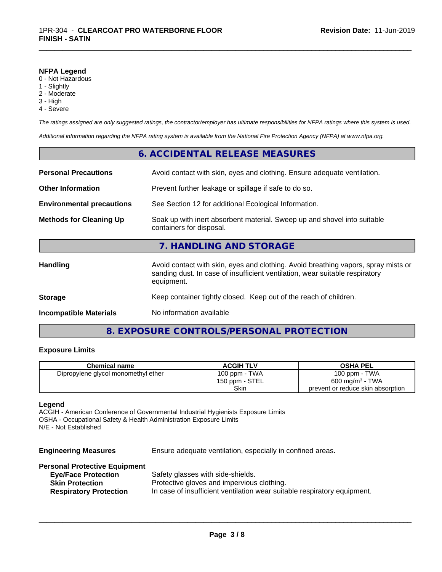#### **NFPA Legend**

- 0 Not Hazardous
- 1 Slightly
- 2 Moderate
- 3 High
- 4 Severe

*The ratings assigned are only suggested ratings, the contractor/employer has ultimate responsibilities for NFPA ratings where this system is used.*

\_\_\_\_\_\_\_\_\_\_\_\_\_\_\_\_\_\_\_\_\_\_\_\_\_\_\_\_\_\_\_\_\_\_\_\_\_\_\_\_\_\_\_\_\_\_\_\_\_\_\_\_\_\_\_\_\_\_\_\_\_\_\_\_\_\_\_\_\_\_\_\_\_\_\_\_\_\_\_\_\_\_\_\_\_\_\_\_\_\_\_\_\_

*Additional information regarding the NFPA rating system is available from the National Fire Protection Agency (NFPA) at www.nfpa.org.*

|                                  | 6. ACCIDENTAL RELEASE MEASURES                                                                                                                                                   |  |
|----------------------------------|----------------------------------------------------------------------------------------------------------------------------------------------------------------------------------|--|
| <b>Personal Precautions</b>      | Avoid contact with skin, eyes and clothing. Ensure adequate ventilation.                                                                                                         |  |
| <b>Other Information</b>         | Prevent further leakage or spillage if safe to do so.                                                                                                                            |  |
| <b>Environmental precautions</b> | See Section 12 for additional Ecological Information.                                                                                                                            |  |
| <b>Methods for Cleaning Up</b>   | Soak up with inert absorbent material. Sweep up and shovel into suitable<br>containers for disposal.                                                                             |  |
|                                  | 7. HANDLING AND STORAGE                                                                                                                                                          |  |
| Handling                         | Avoid contact with skin, eyes and clothing. Avoid breathing vapors, spray mists or<br>sanding dust. In case of insufficient ventilation, wear suitable respiratory<br>equipment. |  |
| <b>Storage</b>                   | Keep container tightly closed. Keep out of the reach of children.                                                                                                                |  |
| <b>Incompatible Materials</b>    | No information available                                                                                                                                                         |  |
|                                  |                                                                                                                                                                                  |  |

## **8. EXPOSURE CONTROLS/PERSONAL PROTECTION**

### **Exposure Limits**

| <b>Chemical name</b>                | <b>ACGIH TLV</b> | <b>OSHA PEL</b>                   |
|-------------------------------------|------------------|-----------------------------------|
| Dipropylene glycol monomethyl ether | 100 ppm - TWA    | 100 ppm - TWA                     |
|                                     | 150 ppm - STEL   | 600 mg/m <sup>3</sup> - TWA       |
|                                     | Skin             | prevent or reduce skin absorption |

#### **Legend**

ACGIH - American Conference of Governmental Industrial Hygienists Exposure Limits OSHA - Occupational Safety & Health Administration Exposure Limits N/E - Not Established

| <b>Engineering Measures</b>          | Ensure adequate ventilation, especially in confined areas.               |
|--------------------------------------|--------------------------------------------------------------------------|
| <b>Personal Protective Equipment</b> |                                                                          |
| <b>Eye/Face Protection</b>           | Safety glasses with side-shields.                                        |
| <b>Skin Protection</b>               | Protective gloves and impervious clothing.                               |
| <b>Respiratory Protection</b>        | In case of insufficient ventilation wear suitable respiratory equipment. |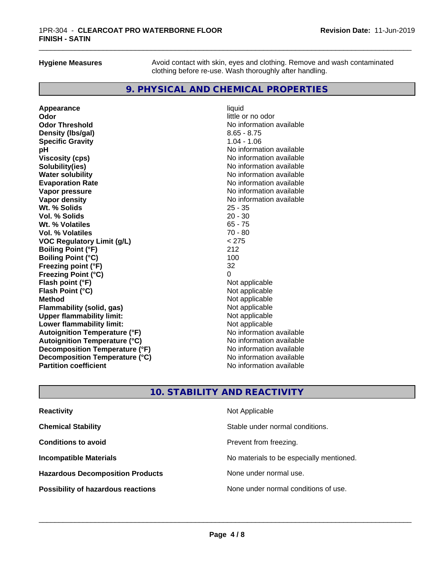**Hygiene Measures** Avoid contact with skin, eyes and clothing. Remove and wash contaminated clothing before re-use. Wash thoroughly after handling.

## **9. PHYSICAL AND CHEMICAL PROPERTIES**

**Appearance** liquid **Odor** little or no odor **Odor Threshold No information available Density (lbs/gal)** 8.65 - 8.75 **Specific Gravity** 1.04 - 1.06 **pH pH**  $\blacksquare$ **Viscosity (cps)** No information available<br> **Solubility(ies)** No information available **Solubility(ies)**<br> **No information available**<br> **Water solubility**<br> **Water solubility Evaporation Rate No information available No information available Vapor pressure** No information available **Vapor density Vapor** density **Wt. % Solids** 25 - 35 **Vol. % Solids** 20 - 30 **Wt. % Volatiles Vol. % Volatiles** 70 - 80<br> **VOC Requiatory Limit (q/L)**  $\leq$  275 **VOC** Regulatory Limit (g/L) **Boiling Point (°F)** 212 **Boiling Point (°C)** 100<br>**Freezing point (°F)** 100<br>32 **Freezing point (°F) Freezing Point (°C)** 0 **Flash point (°F)**<br> **Flash Point (°C)**<br> **Flash Point (°C)**<br> **Clash Point (°C) Flash Point (°C) Method** Not applicable not applicable not applicable not applicable not applicable not applicable not applicable **Flammability (solid, gas)** Not applicable<br> **Upper flammability limit:** Not applicable **Upper flammability limit:**<br> **Lower flammability limit:** Not applicable Not applicable **Lower flammability limit: Autoignition Temperature (°F)**<br> **Autoignition Temperature (°C)** No information available **Autoignition Temperature (°C) Decomposition Temperature (°F)**<br> **Decomposition Temperature (°C)** Moinformation available **Decomposition Temperature (°C)**<br>Partition coefficient

**No information available No information available** 

## **10. STABILITY AND REACTIVITY**

| <b>Reactivity</b>                         | Not Applicable                           |
|-------------------------------------------|------------------------------------------|
| <b>Chemical Stability</b>                 | Stable under normal conditions.          |
| <b>Conditions to avoid</b>                | Prevent from freezing.                   |
| <b>Incompatible Materials</b>             | No materials to be especially mentioned. |
| <b>Hazardous Decomposition Products</b>   | None under normal use.                   |
| <b>Possibility of hazardous reactions</b> | None under normal conditions of use.     |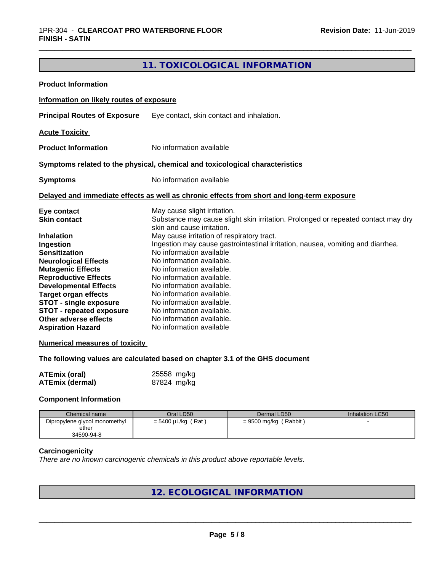## **11. TOXICOLOGICAL INFORMATION**

| <b>Product Information</b>                                                                                                                                                                                                                                                                            |                                                                                                                                                                                                                                                                                                                                                                                                   |
|-------------------------------------------------------------------------------------------------------------------------------------------------------------------------------------------------------------------------------------------------------------------------------------------------------|---------------------------------------------------------------------------------------------------------------------------------------------------------------------------------------------------------------------------------------------------------------------------------------------------------------------------------------------------------------------------------------------------|
| Information on likely routes of exposure                                                                                                                                                                                                                                                              |                                                                                                                                                                                                                                                                                                                                                                                                   |
| <b>Principal Routes of Exposure</b>                                                                                                                                                                                                                                                                   | Eye contact, skin contact and inhalation.                                                                                                                                                                                                                                                                                                                                                         |
| <b>Acute Toxicity</b>                                                                                                                                                                                                                                                                                 |                                                                                                                                                                                                                                                                                                                                                                                                   |
| <b>Product Information</b>                                                                                                                                                                                                                                                                            | No information available                                                                                                                                                                                                                                                                                                                                                                          |
|                                                                                                                                                                                                                                                                                                       | Symptoms related to the physical, chemical and toxicological characteristics                                                                                                                                                                                                                                                                                                                      |
| <b>Symptoms</b>                                                                                                                                                                                                                                                                                       | No information available                                                                                                                                                                                                                                                                                                                                                                          |
|                                                                                                                                                                                                                                                                                                       | Delayed and immediate effects as well as chronic effects from short and long-term exposure                                                                                                                                                                                                                                                                                                        |
| Eye contact<br><b>Skin contact</b>                                                                                                                                                                                                                                                                    | May cause slight irritation.<br>Substance may cause slight skin irritation. Prolonged or repeated contact may dry<br>skin and cause irritation.                                                                                                                                                                                                                                                   |
| <b>Inhalation</b><br>Ingestion<br><b>Sensitization</b><br><b>Neurological Effects</b><br><b>Mutagenic Effects</b><br><b>Reproductive Effects</b><br><b>Developmental Effects</b><br><b>Target organ effects</b><br>STOT - single exposure<br><b>STOT - repeated exposure</b><br>Other adverse effects | May cause irritation of respiratory tract.<br>Ingestion may cause gastrointestinal irritation, nausea, vomiting and diarrhea.<br>No information available<br>No information available.<br>No information available.<br>No information available.<br>No information available.<br>No information available.<br>No information available.<br>No information available.<br>No information available. |

#### **Numerical measures of toxicity**

**The following values are calculated based on chapter 3.1 of the GHS document**

| <b>ATEmix (oral)</b>   | 25558 mg/kg |
|------------------------|-------------|
| <b>ATEmix (dermal)</b> | 87824 mg/kg |

#### **Component Information**

| Chemical name                 | Oral LD50               | Dermal LD50             | Inhalation LC50 |
|-------------------------------|-------------------------|-------------------------|-----------------|
| Dipropylene glycol monomethyl | $= 5400 \mu L/kg$ (Rat) | $= 9500$ mg/kg (Rabbit) |                 |
| ether                         |                         |                         |                 |
| 34590-94-8                    |                         |                         |                 |

#### **Carcinogenicity**

*There are no known carcinogenic chemicals in this product above reportable levels.*

# **12. ECOLOGICAL INFORMATION**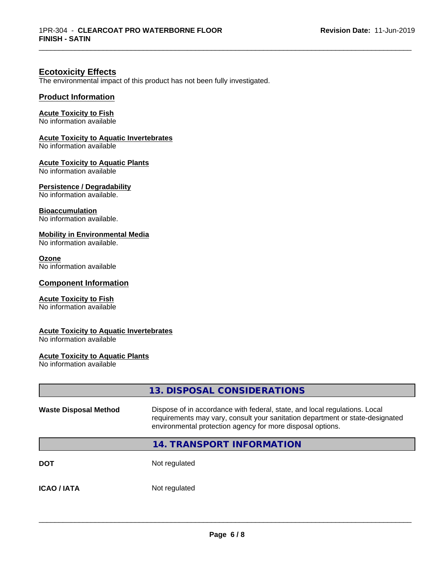\_\_\_\_\_\_\_\_\_\_\_\_\_\_\_\_\_\_\_\_\_\_\_\_\_\_\_\_\_\_\_\_\_\_\_\_\_\_\_\_\_\_\_\_\_\_\_\_\_\_\_\_\_\_\_\_\_\_\_\_\_\_\_\_\_\_\_\_\_\_\_\_\_\_\_\_\_\_\_\_\_\_\_\_\_\_\_\_\_\_\_\_\_

## **Ecotoxicity Effects**

The environmental impact of this product has not been fully investigated.

#### **Product Information**

#### **Acute Toxicity to Fish**

No information available

#### **Acute Toxicity to Aquatic Invertebrates**

No information available

#### **Acute Toxicity to Aquatic Plants**

No information available

#### **Persistence / Degradability**

No information available.

#### **Bioaccumulation**

No information available.

#### **Mobility in Environmental Media**

No information available.

#### **Ozone**

No information available

#### **Component Information**

#### **Acute Toxicity to Fish**

No information available

#### **Acute Toxicity to Aquatic Invertebrates**

No information available

### **Acute Toxicity to Aquatic Plants**

No information available

|                              | 13. DISPOSAL CONSIDERATIONS                                                                                                                                                                                               |
|------------------------------|---------------------------------------------------------------------------------------------------------------------------------------------------------------------------------------------------------------------------|
| <b>Waste Disposal Method</b> | Dispose of in accordance with federal, state, and local regulations. Local<br>requirements may vary, consult your sanitation department or state-designated<br>environmental protection agency for more disposal options. |
|                              | 14. TRANSPORT INFORMATION                                                                                                                                                                                                 |
| <b>DOT</b>                   | Not regulated                                                                                                                                                                                                             |
| <b>ICAO / IATA</b>           | Not regulated                                                                                                                                                                                                             |
|                              |                                                                                                                                                                                                                           |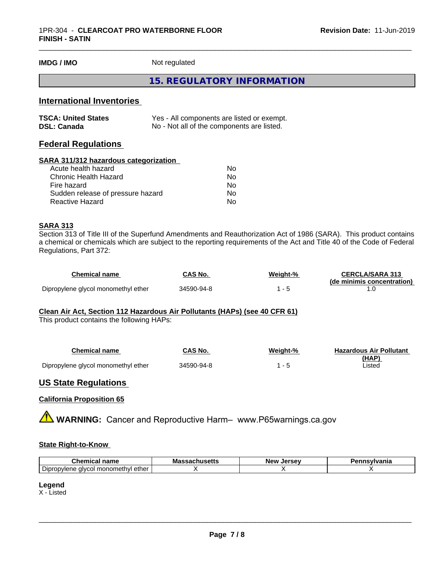**IMDG / IMO** Not regulated

#### **15. REGULATORY INFORMATION**

## **International Inventories**

| <b>TSCA: United States</b> | Yes - All components are listed or exempt. |
|----------------------------|--------------------------------------------|
| <b>DSL: Canada</b>         | No - Not all of the components are listed. |

## **Federal Regulations**

#### **SARA 311/312 hazardous categorization**

| No |
|----|
| Nο |
| No |
| Nο |
| N٥ |
|    |

#### **SARA 313**

Section 313 of Title III of the Superfund Amendments and Reauthorization Act of 1986 (SARA). This product contains a chemical or chemicals which are subject to the reporting requirements of the Act and Title 40 of the Code of Federal Regulations, Part 372:

| Chemical name                       | CAS No.    | Weight-% | <b>CERCLA/SARA 313</b>     |
|-------------------------------------|------------|----------|----------------------------|
|                                     |            |          | (de minimis concentration) |
| Dipropylene glycol monomethyl ether | 34590-94-8 |          |                            |

#### **Clean Air Act,Section 112 Hazardous Air Pollutants (HAPs) (see 40 CFR 61)**

This product contains the following HAPs:

| Chemical name                       | CAS No.    | Weight-% | <b>Hazardous Air Pollutant</b> |
|-------------------------------------|------------|----------|--------------------------------|
|                                     |            |          | (HAP)                          |
| Dipropylene glycol monomethyl ether | 34590-94-8 |          | Listed                         |

#### **US State Regulations**

#### **California Proposition 65**

**AVIMARNING:** Cancer and Reproductive Harm– www.P65warnings.ca.gov

#### **State Right-to-Know**

| name<br>UNEMICA.                                                               | Mass<br>quiluacua | Jersev<br><b>Nev</b><br>156 | ;vIvania |
|--------------------------------------------------------------------------------|-------------------|-----------------------------|----------|
| $\overline{\phantom{0}}$<br>∶ monometh∨l ether ار<br>Dipropylene<br>alvco<br>. |                   |                             |          |

#### **Legend**

X - Listed